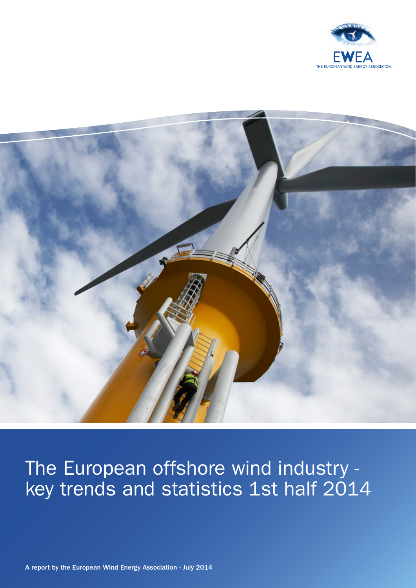



# The European offshore wind industry key trends and statistics 1st half 2014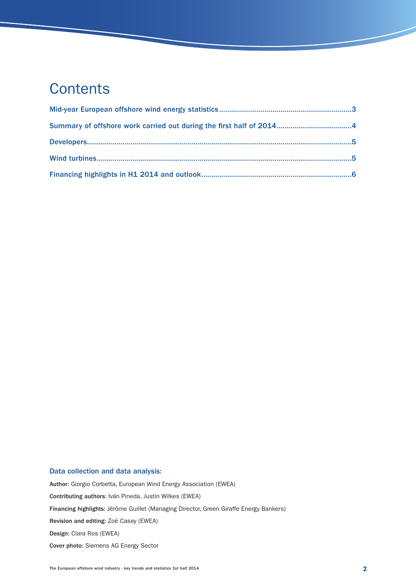## **Contents**

### Data collection and data analysis:

Author: Giorgio Corbetta, European Wind Energy Association (EWEA) Contributing authors: Iván Pineda, Justin Wilkes (EWEA) Financing highlights: Jérôme Guillet (Managing Director, Green Giraffe Energy Bankers) Revision and editing: Zoë Casey (EWEA) Design: Clara Ros (EWEA) Cover photo: Siemens AG Energy Sector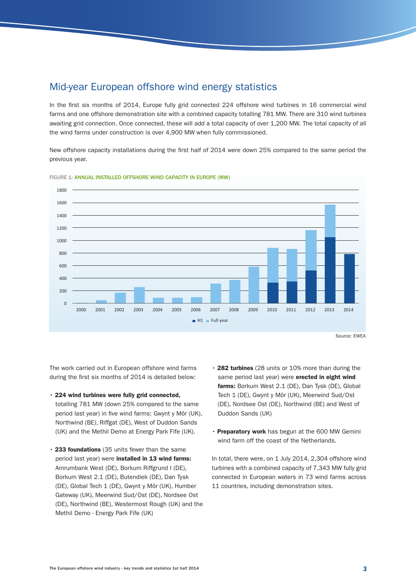## Mid-year European offshore wind energy statistics

In the first six months of 2014, Europe fully grid connected 224 offshore wind turbines in 16 commercial wind farms and one offshore demonstration site with a combined capacity totalling 781 MW. There are 310 wind turbines awaiting grid connection. Once connected, these will add a total capacity of over 1,200 MW. The total capacity of all the wind farms under construction is over 4,900 MW when fully commissioned.

New offshore capacity installations during the first half of 2014 were down 25% compared to the same period the previous year.



FIGURE 1: ANNUAL INSTALLED OFFSHORE WIND CAPACITY IN EUROPE (MW)

The work carried out in European offshore wind farms during the first six months of 2014 is detailed below:

- 224 wind turbines were fully grid connected, totalling 781 MW (down 25% compared to the same period last year) in five wind farms: Gwynt y Môr (UK), Northwind (BE), Riffgat (DE), West of Duddon Sands (UK) and the Methil Demo at Energy Park Fife (UK).
- 233 foundations (35 units fewer than the same period last year) were installed in 13 wind farms: Amrumbank West (DE), Borkum Riffgrund I (DE), Borkum West 2.1 (DE), Butendiek (DE), Dan Tysk (DE), Global Tech 1 (DE), Gwynt y Môr (UK), Humber Gateway (UK), Meerwind Sud/Ost (DE), Nordsee Ost (DE), Northwind (BE), Westermost Rough (UK) and the Methil Demo - Energy Park Fife (UK)
- 282 turbines (28 units or 10% more than during the same period last year) were erected in eight wind farms: Borkum West 2.1 (DE), Dan Tysk (DE), Global Tech 1 (DE), Gwynt y Môr (UK), Meerwind Sud/Ost (DE), Nordsee Ost (DE), Northwind (BE) and West of Duddon Sands (UK)
- Preparatory work has begun at the 600 MW Gemini wind farm off the coast of the Netherlands.

In total, there were, on 1 July 2014, 2,304 offshore wind turbines with a combined capacity of 7,343 MW fully grid connected in European waters in 73 wind farms across 11 countries, including demonstration sites.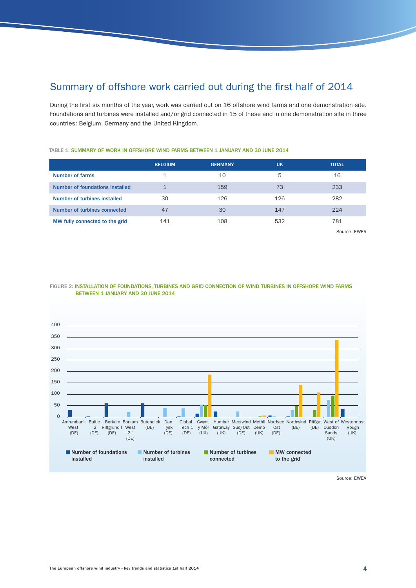## Summary of offshore work carried out during the first half of 2014

During the first six months of the year, work was carried out on 16 offshore wind farms and one demonstration site. Foundations and turbines were installed and/or grid connected in 15 of these and in one demonstration site in three countries: Belgium, Germany and the United Kingdom.

|                                 | <b>BELGIUM</b> | <b>GERMANY</b> | <b>UK</b> | <b>TOTAL</b> |
|---------------------------------|----------------|----------------|-----------|--------------|
| Number of farms                 |                | 10             | 5         | 16           |
| Number of foundations installed | $\mathbf{1}$   | 159            | 73        | 233          |
| Number of turbines installed    | 30             | 126            | 126       | 282          |
| Number of turbines connected    | 47             | 30             | 147       | 224          |
| MW fully connected to the grid  | 141            | 108            | 532       | 781          |

TABLE 1: SUMMARY OF WORK IN OFFSHORE WIND FARMS BETWEEN 1 JANUARY AND 30 JUNE 2014

Source: EWEA



#### FIGURE 2: INSTALLATION OF FOUNDATIONS, TURBINES AND GRID CONNECTION OF WIND TURBINES IN OFFSHORE WIND FARMS BETWEEN 1 JANUARY AND 30 JUNE 2014

Source: EWEA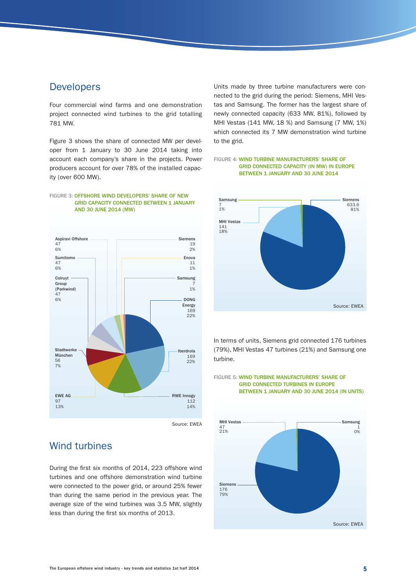## **Developers**

Four commercial wind farms and one demonstration project connected wind turbines to the grid totalling 781 MW.

Figure 3 shows the share of connected MW per developer from 1 January to 30 June 2014 taking into account each company's share in the projects. Power producers account for over 78% of the installed capacity (over 600 MW).



### FIGURE 3: OFFSHORE WIND DEVELOPERS' SHARE OF NEW GRID CAPACITY CONNECTED BETWEEN 1 JANUARY

Source: EWEA

## Wind turbines

During the first six months of 2014, 223 offshore wind turbines and one offshore demonstration wind turbine were connected to the power grid, or around 25% fewer than during the same period in the previous year. The average size of the wind turbines was 3.5 MW, slightly less than during the first six months of 2013.

Units made by three turbine manufacturers were connected to the grid during the period: Siemens, MHI Vestas and Samsung. The former has the largest share of newly connected capacity (633 MW, 81%), followed by MHI Vestas (141 MW, 18 %) and Samsung (7 MW, 1%) which connected its 7 MW demonstration wind turbine to the grid.





In terms of units, Siemens grid connected 176 turbines (79%), MHI Vestas 47 turbines (21%) and Samsung one turbine.

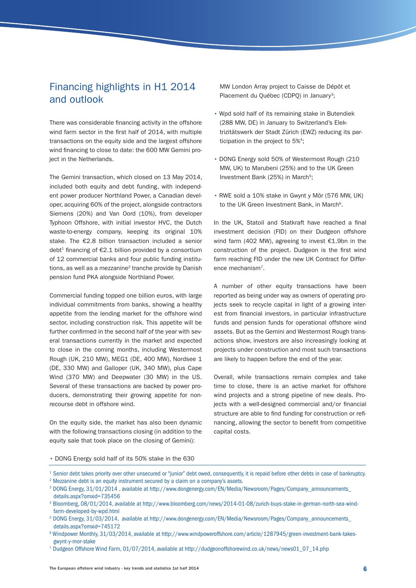## Financing highlights in H1 2014 and outlook

There was considerable financing activity in the offshore wind farm sector in the first half of 2014, with multiple transactions on the equity side and the largest offshore wind financing to close to date: the 600 MW Gemini project in the Netherlands.

The Gemini transaction, which closed on 13 May 2014, included both equity and debt funding, with independent power producer Northland Power, a Canadian developer, acquiring 60% of the project, alongside contractors Siemens (20%) and Van Oord (10%), from developer Typhoon Offshore, with initial investor HVC, the Dutch waste-to-energy company, keeping its original 10% stake. The €2.8 billion transaction included a senior debt<sup>1</sup> financing of  $E2.1$  billion provided by a consortium of 12 commercial banks and four public funding institutions, as well as a mezzanine<sup>2</sup> tranche provide by Danish pension fund PKA alongside Northland Power.

Commercial funding topped one billion euros, with large individual commitments from banks, showing a healthy appetite from the lending market for the offshore wind sector, including construction risk. This appetite will be further confirmed in the second half of the year with several transactions currently in the market and expected to close in the coming months, including Westermost Rough (UK, 210 MW), MEG1 (DE, 400 MW), Nordsee 1 (DE, 330 MW) and Galloper (UK, 340 MW), plus Cape Wind (370 MW) and Deepwater (30 MW) in the US. Several of these transactions are backed by power producers, demonstrating their growing appetite for nonrecourse debt in offshore wind.

On the equity side, the market has also been dynamic with the following transactions closing (in addition to the equity sale that took place on the closing of Gemini):

MW London Array project to Caisse de Dépôt et Placement du Québec (CDPQ) in January<sup>3</sup>;

- Wpd sold half of its remaining stake in Butendiek (288 MW, DE) in January to Switzerland's Elektrizitätswerk der Stadt Zürich (EWZ) reducing its participation in the project to 5%<sup>4</sup>;
- DONG Energy sold 50% of Westermost Rough (210 MW, UK) to Marubeni (25%) and to the UK Green Investment Bank (25%) in March<sup>5</sup>;
- RWE sold a 10% stake in Gwynt y Môr (576 MW, UK) to the UK Green Investment Bank, in March<sup>6</sup>.

In the UK, Statoil and Statkraft have reached a final investment decision (FID) on their Dudgeon offshore wind farm (402 MW), agreeing to invest €1.9bn in the construction of the project. Dudgeon is the first wind farm reaching FID under the new UK Contract for Difference mechanism7.

A number of other equity transactions have been reported as being under way as owners of operating projects seek to recycle capital in light of a growing interest from financial investors, in particular infrastructure funds and pension funds for operational offshore wind assets. But as the Gemini and Westermost Rough transactions show, investors are also increasingly looking at projects under construction and most such transactions are likely to happen before the end of the year.

Overall, while transactions remain complex and take time to close, there is an active market for offshore wind projects and a strong pipeline of new deals. Projects with a well-designed commercial and/or financial structure are able to find funding for construction or refinancing, allowing the sector to benefit from competitive capital costs.

#### • DONG Energy sold half of its 50% stake in the 630

- 1 Senior debt takes priority over other unsecured or "junior" debt owed, consequently, it is repaid before other debts in case of bankruptcy.
- <sup>2</sup> Mezzanine debt is an equity instrument secured by a claim on a company's assets.
- 3 [DONG Energy, 31/01/2014 , available at http://www.dongenergy.com/EN/Media/Newsroom/Pages/Company\\_announcements\\_](http://www.dongenergy.com/EN/Media/Newsroom/Pages/Company_announcements_details.aspx?omxid=735456) details.aspx?omxid=735456

- 5  [DONG Energy, 31/03/2014, available at http://www.dongenergy.com/EN/Media/Newsroom/Pages/Company\\_announcements\\_](http://www.dongenergy.com/EN/Media/Newsroom/Pages/Company_announcements_details.aspx?omxid=745172) details.aspx?omxid=745172
- 6 Windpower Monthly, 31/03/2014, available at http://www.windpoweroffshore.com/article/1287945/green-investment-bank-takesgwynt-y-mor-stake
- 7 Dudgeon Offshore Wind Farm, 01/07/2014, available at http://dudgeonoffshorewind.co.uk/news/news01\_07\_14.php

<sup>4</sup> Bloomberg, 08/01/2014, available at http://www.bloomberg.com/news/2014-01-08/zurich-buys-stake-in-german-north-sea-windfarm-developed-by-wpd.html